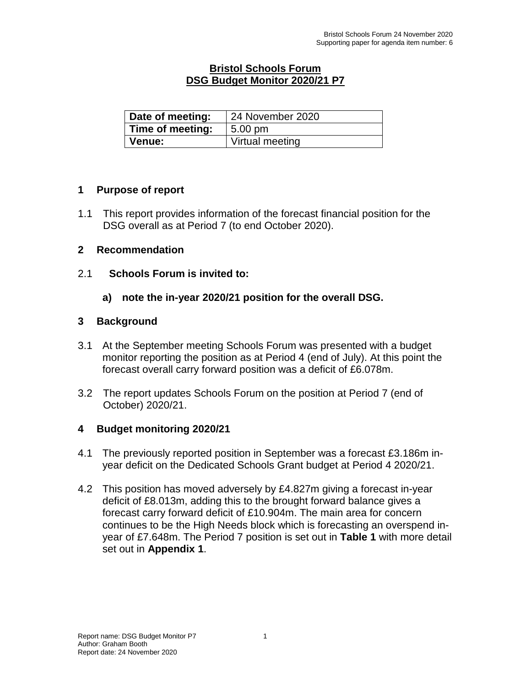## **Bristol Schools Forum DSG Budget Monitor 2020/21 P7**

| Date of meeting: | 24 November 2020 |
|------------------|------------------|
| Time of meeting: | 5.00 pm          |
| <b>Venue:</b>    | Virtual meeting  |

## **1 Purpose of report**

1.1 This report provides information of the forecast financial position for the DSG overall as at Period 7 (to end October 2020).

## **2 Recommendation**

2.1 **Schools Forum is invited to:**

## **a) note the in-year 2020/21 position for the overall DSG.**

## **3 Background**

- 3.1 At the September meeting Schools Forum was presented with a budget monitor reporting the position as at Period 4 (end of July). At this point the forecast overall carry forward position was a deficit of £6.078m.
- 3.2 The report updates Schools Forum on the position at Period 7 (end of October) 2020/21.

# **4 Budget monitoring 2020/21**

- 4.1 The previously reported position in September was a forecast £3.186m inyear deficit on the Dedicated Schools Grant budget at Period 4 2020/21.
- 4.2 This position has moved adversely by £4.827m giving a forecast in-year deficit of £8.013m, adding this to the brought forward balance gives a forecast carry forward deficit of £10.904m. The main area for concern continues to be the High Needs block which is forecasting an overspend inyear of £7.648m. The Period 7 position is set out in **Table 1** with more detail set out in **Appendix 1**.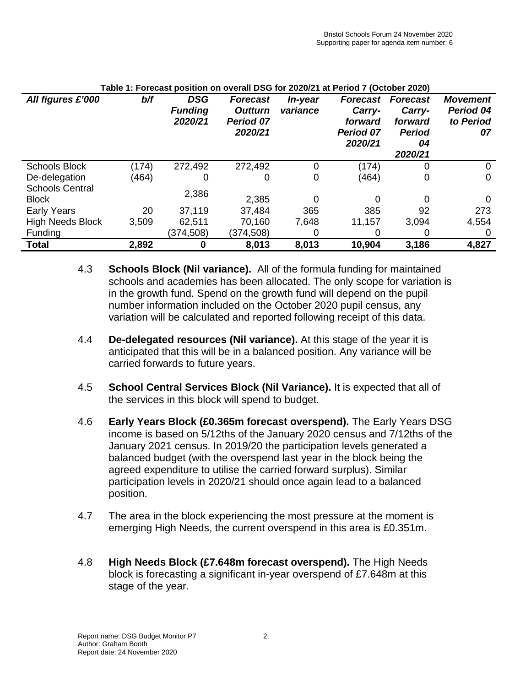| All figures £'000                      | b/f   | <b>DSG</b><br><b>Funding</b><br>2020/21 | <b>Forecast</b><br><b>Outturn</b><br><b>Period 07</b><br>2020/21 | In-year<br>variance | <b>Forecast</b><br>Carry-<br>forward<br><b>Period 07</b><br>2020/21 | <b>Forecast</b><br>Carry-<br>forward<br><b>Period</b><br>04<br>2020/21 | <b>Movement</b><br>Period 04<br>to Period<br>07 |
|----------------------------------------|-------|-----------------------------------------|------------------------------------------------------------------|---------------------|---------------------------------------------------------------------|------------------------------------------------------------------------|-------------------------------------------------|
| <b>Schools Block</b>                   | (174) | 272,492                                 | 272,492                                                          | 0                   | (174)                                                               | 0                                                                      | 0                                               |
| De-delegation                          | (464) | O                                       | 0                                                                | 0                   | (464)                                                               | 0                                                                      | 0                                               |
| <b>Schools Central</b><br><b>Block</b> |       | 2,386                                   | 2,385                                                            | 0                   | 0                                                                   |                                                                        |                                                 |
| <b>Early Years</b>                     | 20    | 37,119                                  | 37,484                                                           | 365                 | 385                                                                 | 92                                                                     | 273                                             |
| <b>High Needs Block</b>                | 3,509 | 62,511                                  | 70,160                                                           | 7,648               | 11,157                                                              | 3,094                                                                  | 4,554                                           |
| <b>Funding</b>                         |       | (374,508)                               | (374, 508)                                                       | O                   | O                                                                   |                                                                        |                                                 |
| <b>Total</b>                           | 2,892 | 0                                       | 8,013                                                            | 8,013               | 10,904                                                              | 3,186                                                                  | 4,827                                           |

#### **Table 1: Forecast position on overall DSG for 2020/21 at Period 7 (October 2020)**

- 4.3 **Schools Block (Nil variance).** All of the formula funding for maintained schools and academies has been allocated. The only scope for variation is in the growth fund. Spend on the growth fund will depend on the pupil number information included on the October 2020 pupil census, any variation will be calculated and reported following receipt of this data.
- 4.4 **De-delegated resources (Nil variance).** At this stage of the year it is anticipated that this will be in a balanced position. Any variance will be carried forwards to future years.
- 4.5 **School Central Services Block (Nil Variance).** It is expected that all of the services in this block will spend to budget.
- 4.6 **Early Years Block (£0.365m forecast overspend).** The Early Years DSG income is based on 5/12ths of the January 2020 census and 7/12ths of the January 2021 census. In 2019/20 the participation levels generated a balanced budget (with the overspend last year in the block being the agreed expenditure to utilise the carried forward surplus). Similar participation levels in 2020/21 should once again lead to a balanced position.
- 4.7 The area in the block experiencing the most pressure at the moment is emerging High Needs, the current overspend in this area is £0.351m.
- 4.8 **High Needs Block (£7.648m forecast overspend).** The High Needs block is forecasting a significant in-year overspend of £7.648m at this stage of the year.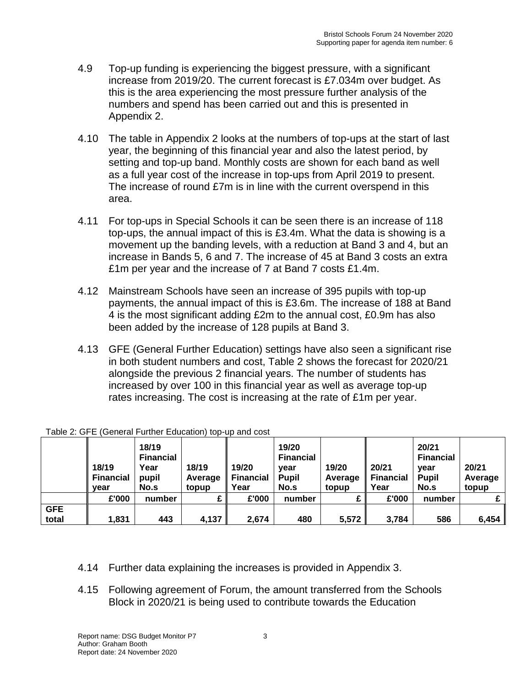- 4.9 Top-up funding is experiencing the biggest pressure, with a significant increase from 2019/20. The current forecast is £7.034m over budget. As this is the area experiencing the most pressure further analysis of the numbers and spend has been carried out and this is presented in Appendix 2.
- 4.10 The table in Appendix 2 looks at the numbers of top-ups at the start of last year, the beginning of this financial year and also the latest period, by setting and top-up band. Monthly costs are shown for each band as well as a full year cost of the increase in top-ups from April 2019 to present. The increase of round £7m is in line with the current overspend in this area.
- 4.11 For top-ups in Special Schools it can be seen there is an increase of 118 top-ups, the annual impact of this is £3.4m. What the data is showing is a movement up the banding levels, with a reduction at Band 3 and 4, but an increase in Bands 5, 6 and 7. The increase of 45 at Band 3 costs an extra £1m per year and the increase of 7 at Band 7 costs £1.4m.
- 4.12 Mainstream Schools have seen an increase of 395 pupils with top-up payments, the annual impact of this is £3.6m. The increase of 188 at Band 4 is the most significant adding £2m to the annual cost, £0.9m has also been added by the increase of 128 pupils at Band 3.
- 4.13 GFE (General Further Education) settings have also seen a significant rise in both student numbers and cost, Table 2 shows the forecast for 2020/21 alongside the previous 2 financial years. The number of students has increased by over 100 in this financial year as well as average top-up rates increasing. The cost is increasing at the rate of £1m per year.

|            | 18/19<br><b>Financial</b><br>vear | 18/19<br><b>Financial</b><br>Year<br>pupil<br>No.s | 18/19<br>Average<br>topup | 19/20<br><b>Financial</b><br>Year | 19/20<br><b>Financial</b><br>vear<br><b>Pupil</b><br>No.s | 19/20<br>Average<br>topup | 20/21<br><b>Financial</b><br>Year | 20/21<br><b>Financial</b><br>vear<br><b>Pupil</b><br>No.s | 20/21<br>Average<br>topup |
|------------|-----------------------------------|----------------------------------------------------|---------------------------|-----------------------------------|-----------------------------------------------------------|---------------------------|-----------------------------------|-----------------------------------------------------------|---------------------------|
|            | £'000                             | number                                             |                           | £'000                             | number                                                    | c                         | £'000                             | number                                                    |                           |
| <b>GFE</b> |                                   |                                                    |                           |                                   |                                                           |                           |                                   |                                                           |                           |
| total      | 1,831                             | 443                                                | 4,137                     | 2,674                             | 480                                                       | 5,572                     | 3,784                             | 586                                                       | 6,454                     |

| Table 2: GFE (General Further Education) top-up and cost |  |  |  |
|----------------------------------------------------------|--|--|--|
|                                                          |  |  |  |

- 4.14 Further data explaining the increases is provided in Appendix 3.
- 4.15 Following agreement of Forum, the amount transferred from the Schools Block in 2020/21 is being used to contribute towards the Education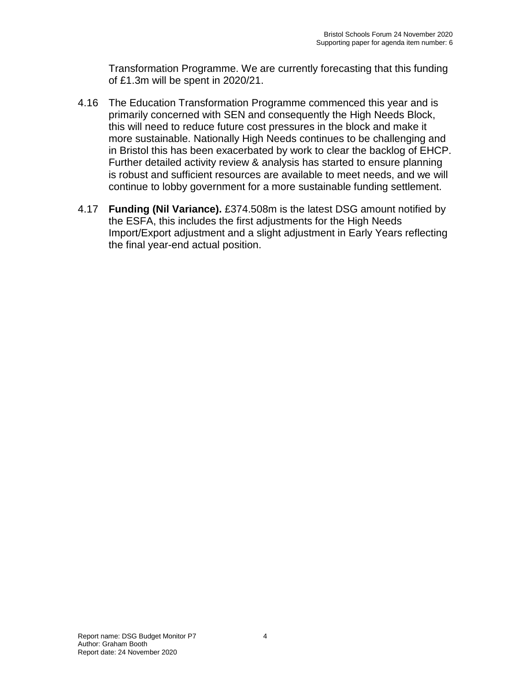Transformation Programme. We are currently forecasting that this funding of £1.3m will be spent in 2020/21.

- 4.16 The Education Transformation Programme commenced this year and is primarily concerned with SEN and consequently the High Needs Block, this will need to reduce future cost pressures in the block and make it more sustainable. Nationally High Needs continues to be challenging and in Bristol this has been exacerbated by work to clear the backlog of EHCP. Further detailed activity review & analysis has started to ensure planning is robust and sufficient resources are available to meet needs, and we will continue to lobby government for a more sustainable funding settlement.
- 4.17 **Funding (Nil Variance).** £374.508m is the latest DSG amount notified by the ESFA, this includes the first adjustments for the High Needs Import/Export adjustment and a slight adjustment in Early Years reflecting the final year-end actual position.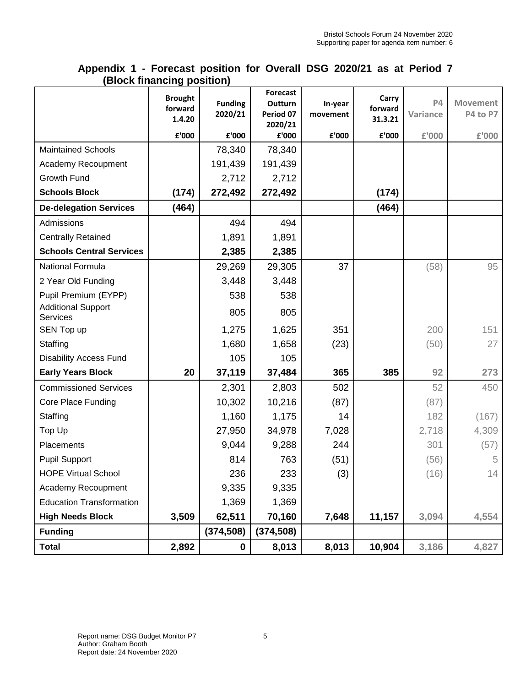|                                              | piuun mianuniy pusitiun,            |                           |                                                    |                     |                             |                       |                             |
|----------------------------------------------|-------------------------------------|---------------------------|----------------------------------------------------|---------------------|-----------------------------|-----------------------|-----------------------------|
|                                              | <b>Brought</b><br>forward<br>1.4.20 | <b>Funding</b><br>2020/21 | <b>Forecast</b><br>Outturn<br>Period 07<br>2020/21 | In-year<br>movement | Carry<br>forward<br>31.3.21 | <b>P4</b><br>Variance | <b>Movement</b><br>P4 to P7 |
|                                              | £'000                               | £'000                     | £'000                                              | £'000               | £'000                       | £'000                 | £'000                       |
| <b>Maintained Schools</b>                    |                                     | 78,340                    | 78,340                                             |                     |                             |                       |                             |
| Academy Recoupment                           |                                     | 191,439                   | 191,439                                            |                     |                             |                       |                             |
| Growth Fund                                  |                                     | 2,712                     | 2,712                                              |                     |                             |                       |                             |
| <b>Schools Block</b>                         | (174)                               | 272,492                   | 272,492                                            |                     | (174)                       |                       |                             |
| <b>De-delegation Services</b>                | (464)                               |                           |                                                    |                     | (464)                       |                       |                             |
| Admissions                                   |                                     | 494                       | 494                                                |                     |                             |                       |                             |
| <b>Centrally Retained</b>                    |                                     | 1,891                     | 1,891                                              |                     |                             |                       |                             |
| <b>Schools Central Services</b>              |                                     | 2,385                     | 2,385                                              |                     |                             |                       |                             |
| National Formula                             |                                     | 29,269                    | 29,305                                             | 37                  |                             | (58)                  | 95                          |
| 2 Year Old Funding                           |                                     | 3,448                     | 3,448                                              |                     |                             |                       |                             |
| Pupil Premium (EYPP)                         |                                     | 538                       | 538                                                |                     |                             |                       |                             |
| <b>Additional Support</b><br><b>Services</b> |                                     | 805                       | 805                                                |                     |                             |                       |                             |
| SEN Top up                                   |                                     | 1,275                     | 1,625                                              | 351                 |                             | 200                   | 151                         |
| Staffing                                     |                                     | 1,680                     | 1,658                                              | (23)                |                             | (50)                  | 27                          |
| <b>Disability Access Fund</b>                |                                     | 105                       | 105                                                |                     |                             |                       |                             |
| <b>Early Years Block</b>                     | 20                                  | 37,119                    | 37,484                                             | 365                 | 385                         | 92                    | 273                         |
| <b>Commissioned Services</b>                 |                                     | 2,301                     | 2,803                                              | 502                 |                             | 52                    | 450                         |
| Core Place Funding                           |                                     | 10,302                    | 10,216                                             | (87)                |                             | (87)                  |                             |
| Staffing                                     |                                     | 1,160                     | 1,175                                              | 14                  |                             | 182                   | (167)                       |
| Top Up                                       |                                     | 27,950                    | 34,978                                             | 7,028               |                             | 2,718                 | 4,309                       |
| Placements                                   |                                     | 9,044                     | 9,288                                              | 244                 |                             | 301                   | (57)                        |
| <b>Pupil Support</b>                         |                                     | 814                       | 763                                                | (51)                |                             | (56)                  | 5                           |
| <b>HOPE Virtual School</b>                   |                                     | 236                       | 233                                                | (3)                 |                             | (16)                  | 14                          |
| Academy Recoupment                           |                                     | 9,335                     | 9,335                                              |                     |                             |                       |                             |
| <b>Education Transformation</b>              |                                     | 1,369                     | 1,369                                              |                     |                             |                       |                             |
| <b>High Needs Block</b>                      | 3,509                               | 62,511                    | 70,160                                             | 7,648               | 11,157                      | 3,094                 | 4,554                       |
| <b>Funding</b>                               |                                     | (374, 508)                | (374, 508)                                         |                     |                             |                       |                             |
| <b>Total</b>                                 | 2,892                               | $\mathbf 0$               | 8,013                                              | 8,013               | 10,904                      | 3,186                 | 4,827                       |

## **Appendix 1 - Forecast position for Overall DSG 2020/21 as at Period 7 (Block financing position)**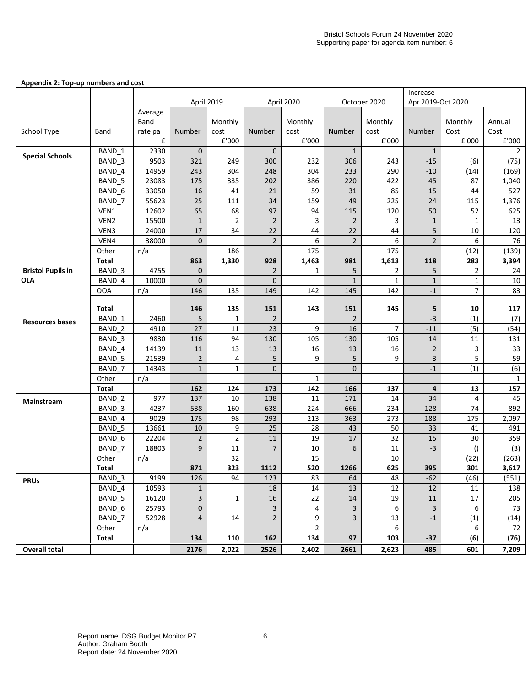#### **Appendix 2: Top-up numbers and cost**

|                          |                   |                | April 2019           |                      |                      | April 2020     |                      | October 2020   |                     | Apr 2019-Oct 2020 |                  |
|--------------------------|-------------------|----------------|----------------------|----------------------|----------------------|----------------|----------------------|----------------|---------------------|-------------------|------------------|
|                          |                   | Average        |                      |                      |                      |                |                      |                |                     |                   |                  |
|                          |                   | Band           |                      | Monthly              |                      | Monthly        |                      | Monthly        |                     | Monthly           | Annual           |
| School Type              | Band              | rate pa        | Number               | cost                 | Number               | cost           | Number               | cost           | Number              | Cost              | Cost             |
|                          |                   | £              |                      | $\texttt{f}'000$     |                      | £'000          |                      | £'000          |                     | £'000             | $\texttt{f}'000$ |
| <b>Special Schools</b>   | BAND 1            | 2330           | $\mathbf 0$          |                      | $\mathbf{0}$         |                | $\mathbf{1}$         |                | $\mathbf{1}$        |                   | $\overline{2}$   |
|                          | BAND 3            | 9503           | 321                  | 249                  | 300                  | 232            | 306                  | 243            | $-15$               | (6)               | (75)             |
|                          | BAND 4            | 14959          | 243                  | 304                  | 248                  | 304            | 233                  | 290            | $-10$               | (14)              | (169)            |
|                          | BAND 5            | 23083          | 175                  | 335                  | 202                  | 386            | 220                  | 422            | 45                  | 87                | 1,040            |
|                          | BAND 6            | 33050          | 16                   | 41                   | 21                   | 59             | 31                   | 85             | 15                  | 44                | 527              |
|                          | BAND 7            | 55623          | 25                   | 111                  | 34                   | 159            | 49                   | 225            | 24                  | 115               | 1,376            |
|                          | VEN1              | 12602          | 65                   | 68                   | 97                   | 94             | 115                  | 120            | 50                  | 52                | 625              |
|                          | VEN <sub>2</sub>  | 15500          | $\mathbf{1}$         | $\overline{2}$       | $\overline{2}$       | 3              | $\overline{2}$       | 3              | $\mathbf{1}$        | $\mathbf{1}$      | 13               |
|                          | VEN3<br>VEN4      | 24000<br>38000 | 17<br>$\overline{0}$ | 34                   | 22<br>$\mathbf 2$    | 44<br>6        | 22<br>$\overline{2}$ | 44<br>6        | 5<br>$\overline{2}$ | 10<br>6           | 120<br>76        |
|                          | Other             | n/a            |                      | 186                  |                      | 175            |                      | 175            |                     | (12)              | (139)            |
|                          | <b>Total</b>      |                | 863                  | 1,330                | 928                  | 1,463          | 981                  | 1,613          | 118                 | 283               | 3,394            |
| <b>Bristol Pupils in</b> | BAND 3            | 4755           | $\mathbf 0$          |                      | $\overline{2}$       | $\mathbf{1}$   | 5                    | $\overline{2}$ | 5                   | 2                 | 24               |
| <b>OLA</b>               | BAND 4            | 10000          | $\mathbf 0$          |                      | $\mathbf 0$          |                | $1\,$                | $\mathbf{1}$   | $\mathbf{1}$        | $\mathbf 1$       | 10               |
|                          | <b>OOA</b>        | n/a            | 146                  | 135                  | 149                  | 142            | 145                  | 142            | $-1$                | 7                 | 83               |
|                          |                   |                |                      |                      |                      |                |                      |                |                     |                   |                  |
|                          | Total             |                | 146                  | 135                  | 151                  | 143            | 151                  | 145            | 5                   | 10                | 117              |
| <b>Resources bases</b>   | BAND 1            | 2460           | 5                    | $\mathbf{1}$         | $\overline{2}$       |                | $\mathbf 2$          |                | $-3$                | (1)               | (7)              |
|                          | BAND <sub>2</sub> | 4910           | 27                   | 11                   | 23                   | 9              | 16                   | $\overline{7}$ | $-11$               | (5)               | (54)             |
|                          | BAND 3            | 9830           | 116                  | 94                   | 130                  | 105            | 130                  | 105            | 14                  | 11                | 131              |
|                          | BAND 4            | 14139          | 11                   | 13                   | 13                   | 16             | 13                   | 16             | $\overline{2}$      | 3                 | 33               |
|                          | BAND 5            | 21539          | $\overline{2}$       | $\overline{4}$       | 5                    | 9              | 5                    | 9              | 3                   | 5                 | 59               |
|                          | BAND 7            | 14343          | $\mathbf{1}$         | 1                    | $\mathbf{0}$         |                | $\mathbf{0}$         |                | $-1$                | (1)               | (6)              |
|                          | Other             | n/a            |                      |                      |                      | $\mathbf{1}$   |                      |                |                     |                   | 1                |
|                          | Total             |                | 162                  | 124                  | 173                  | 142            | 166                  | 137            | 4                   | 13                | 157              |
| Mainstream               | BAND <sub>2</sub> | 977            | 137                  | 10                   | 138                  | 11             | 171                  | 14             | 34                  | 4                 | 45               |
|                          | BAND 3            | 4237           | 538                  | 160                  | 638                  | 224            | 666                  | 234            | 128                 | 74                | 892              |
|                          | BAND 4            | 9029           | 175                  | 98                   | 293                  | 213            | 363                  | 273            | 188                 | 175               | 2,097            |
|                          | BAND 5            | 13661          | 10                   | 9                    | 25                   | 28             | 43                   | 50             | 33                  | 41                | 491              |
|                          | BAND <sub>6</sub> | 22204<br>18803 | $\overline{2}$<br>9  | $\overline{2}$<br>11 | 11<br>$\overline{7}$ | 19<br>10       | 17<br>$\sqrt{6}$     | 32<br>11       | 15<br>$-3$          | 30                | 359              |
|                          | BAND 7            |                |                      |                      |                      | 15             |                      |                |                     | $\left( \right)$  | (3)              |
|                          | Other<br>Total    | n/a            | 871                  | 32<br>323            | 1112                 | 520            | 1266                 | 10<br>625      | 395                 | (22)<br>301       | (263)<br>3,617   |
|                          | BAND 3            | 9199           | 126                  | 94                   | 123                  | 83             | 64                   | 48             | $-62$               | (46)              | (551)            |
| <b>PRUs</b>              | BAND 4            | 10593          | $\mathbf{1}$         |                      | 18                   | 14             | 13                   | 12             | 12                  | 11                | 138              |
|                          | BAND 5            | 16120          | $\overline{3}$       | $\mathbf{1}$         | 16                   | 22             | 14                   | 19             | 11                  | 17                | 205              |
|                          | BAND 6            | 25793          | $\mathbf{0}$         |                      | $\mathbf{3}$         | 4              | $\mathbf{3}$         | 6              | $\overline{3}$      | 6                 | 73               |
|                          | BAND 7            | 52928          | $\overline{4}$       | 14                   | $\overline{2}$       | 9              | $\overline{3}$       | 13             | $-1$                | (1)               | (14)             |
|                          | Other             | n/a            |                      |                      |                      | $\overline{2}$ |                      | 6              |                     | 6                 | 72               |
|                          | Total             |                | 134                  | 110                  | 162                  | 134            | 97                   | 103            | $-37$               | (6)               | (76)             |
| <b>Overall total</b>     |                   |                | 2176                 | 2,022                | 2526                 | 2,402          | 2661                 | 2,623          | 485                 | 601               | 7,209            |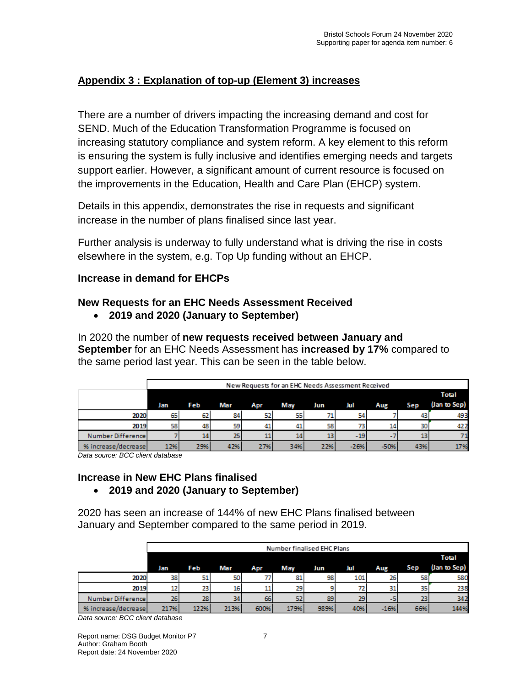# **Appendix 3 : Explanation of top-up (Element 3) increases**

There are a number of drivers impacting the increasing demand and cost for SEND. Much of the Education Transformation Programme is focused on increasing statutory compliance and system reform. A key element to this reform is ensuring the system is fully inclusive and identifies emerging needs and targets support earlier. However, a significant amount of current resource is focused on the improvements in the Education, Health and Care Plan (EHCP) system.

Details in this appendix, demonstrates the rise in requests and significant increase in the number of plans finalised since last year.

Further analysis is underway to fully understand what is driving the rise in costs elsewhere in the system, e.g. Top Up funding without an EHCP.

## **Increase in demand for EHCPs**

## **New Requests for an EHC Needs Assessment Received**

• **2019 and 2020 (January to September)**

In 2020 the number of **new requests received between January and September** for an EHC Needs Assessment has **increased by 17%** compared to the same period last year. This can be seen in the table below.

|                     | New Requests for an EHC Needs Assessment Received |     |     |     |     |     |        |      |            |              |  |
|---------------------|---------------------------------------------------|-----|-----|-----|-----|-----|--------|------|------------|--------------|--|
|                     |                                                   |     |     |     |     |     |        |      |            | <b>Total</b> |  |
|                     | Jan                                               | Feb | Mar | Apr | May | Jun | Jul    | Aug  | <b>Sep</b> | (Jan to Sep) |  |
| 2020                | 65                                                | 62  | 84  | 52  | 551 | 71  | 54     |      | 43         | 493          |  |
| 2019                | 58                                                | 48  | 59  | 41  | 41  | 58  | 73     | 14   | 30         | 422          |  |
| Number Difference   |                                                   | 14  | 25  | 11  | 14  | 13  | $-19$  | $-1$ | 13         |              |  |
| % increase/decrease | 12%                                               | 29% | 42% | 27% | 34% | 22% | $-26%$ | -50% | 43%        | 17%          |  |

*Data source: BCC client database*

#### **Increase in New EHC Plans finalised**  • **2019 and 2020 (January to September)**

2020 has seen an increase of 144% of new EHC Plans finalised between January and September compared to the same period in 2019.

|                     |      | Number finalised EHC Plans |      |      |      |      |     |        |     |              |  |  |
|---------------------|------|----------------------------|------|------|------|------|-----|--------|-----|--------------|--|--|
|                     |      | <b>Total</b>               |      |      |      |      |     |        |     |              |  |  |
|                     | Jan  | Feb                        | Mar  | Apr  | May  | Jun  | Jul | Aug    | Sep | (Jan to Sep) |  |  |
| 2020                | 38   | 51                         | 50   | 77   | 81   | 98   | 101 | 26     | 58  | 580          |  |  |
| 2019                | 12   | 23                         | 16   | 11   | 29   |      | 72  | 31     | 35  | 238          |  |  |
| Number Difference   | 26   | 28                         | 34   | 66   | 52   | 89   | 29  | -5     | 23  | 342          |  |  |
| % increase/decrease | 217% | 122%                       | 213% | 600% | 179% | 989% | 40% | $-16%$ | 66% | 144%         |  |  |

*Data source: BCC client database*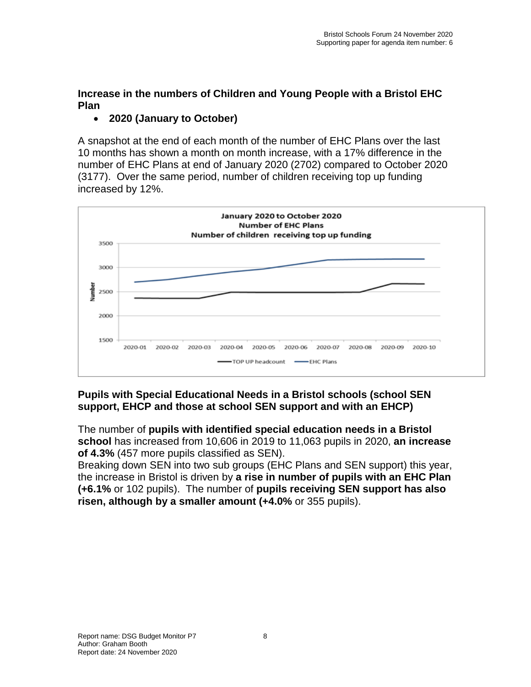# **Increase in the numbers of Children and Young People with a Bristol EHC Plan**

# • **2020 (January to October)**

A snapshot at the end of each month of the number of EHC Plans over the last 10 months has shown a month on month increase, with a 17% difference in the number of EHC Plans at end of January 2020 (2702) compared to October 2020 (3177). Over the same period, number of children receiving top up funding increased by 12%.



# **Pupils with Special Educational Needs in a Bristol schools (school SEN support, EHCP and those at school SEN support and with an EHCP)**

The number of **pupils with identified special education needs in a Bristol school** has increased from 10,606 in 2019 to 11,063 pupils in 2020, **an increase of 4.3%** (457 more pupils classified as SEN).

Breaking down SEN into two sub groups (EHC Plans and SEN support) this year, the increase in Bristol is driven by **a rise in number of pupils with an EHC Plan (+6.1%** or 102 pupils). The number of **pupils receiving SEN support has also risen, although by a smaller amount (+4.0%** or 355 pupils).